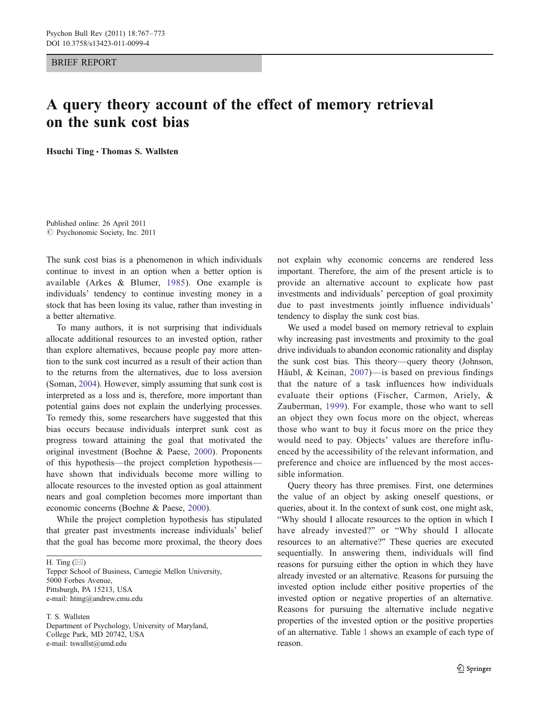BRIEF REPORT

# A query theory account of the effect of memory retrieval on the sunk cost bias

Hsuchi Ting · Thomas S. Wallsten

Published online: 26 April 2011  $\odot$  Psychonomic Society, Inc. 2011

The sunk cost bias is a phenomenon in which individuals continue to invest in an option when a better option is available (Arkes & Blumer, [1985\)](#page-6-0). One example is individuals' tendency to continue investing money in a stock that has been losing its value, rather than investing in a better alternative.

To many authors, it is not surprising that individuals allocate additional resources to an invested option, rather than explore alternatives, because people pay more attention to the sunk cost incurred as a result of their action than to the returns from the alternatives, due to loss aversion (Soman, [2004\)](#page-6-0). However, simply assuming that sunk cost is interpreted as a loss and is, therefore, more important than potential gains does not explain the underlying processes. To remedy this, some researchers have suggested that this bias occurs because individuals interpret sunk cost as progress toward attaining the goal that motivated the original investment (Boehne & Paese, [2000](#page-6-0)). Proponents of this hypothesis—the project completion hypothesis have shown that individuals become more willing to allocate resources to the invested option as goal attainment nears and goal completion becomes more important than economic concerns (Boehne & Paese, [2000](#page-6-0)).

While the project completion hypothesis has stipulated that greater past investments increase individuals' belief that the goal has become more proximal, the theory does

H. Ting  $(\boxtimes)$ Tepper School of Business, Carnegie Mellon University, 5000 Forbes Avenue, Pittsburgh, PA 15213, USA e-mail: hting@andrew.cmu.edu

T. S. Wallsten Department of Psychology, University of Maryland, College Park, MD 20742, USA e-mail: tswallst@umd.edu

not explain why economic concerns are rendered less important. Therefore, the aim of the present article is to provide an alternative account to explicate how past investments and individuals' perception of goal proximity due to past investments jointly influence individuals' tendency to display the sunk cost bias.

We used a model based on memory retrieval to explain why increasing past investments and proximity to the goal drive individuals to abandon economic rationality and display the sunk cost bias. This theory—query theory (Johnson, Häubl, & Keinan, [2007\)](#page-6-0)—is based on previous findings that the nature of a task influences how individuals evaluate their options (Fischer, Carmon, Ariely, & Zauberman, [1999\)](#page-6-0). For example, those who want to sell an object they own focus more on the object, whereas those who want to buy it focus more on the price they would need to pay. Objects' values are therefore influenced by the accessibility of the relevant information, and preference and choice are influenced by the most accessible information.

Query theory has three premises. First, one determines the value of an object by asking oneself questions, or queries, about it. In the context of sunk cost, one might ask, "Why should I allocate resources to the option in which I have already invested?" or "Why should I allocate resources to an alternative?" These queries are executed sequentially. In answering them, individuals will find reasons for pursuing either the option in which they have already invested or an alternative. Reasons for pursuing the invested option include either positive properties of the invested option or negative properties of an alternative. Reasons for pursuing the alternative include negative properties of the invested option or the positive properties of an alternative. Table [1](#page-1-0) shows an example of each type of reason.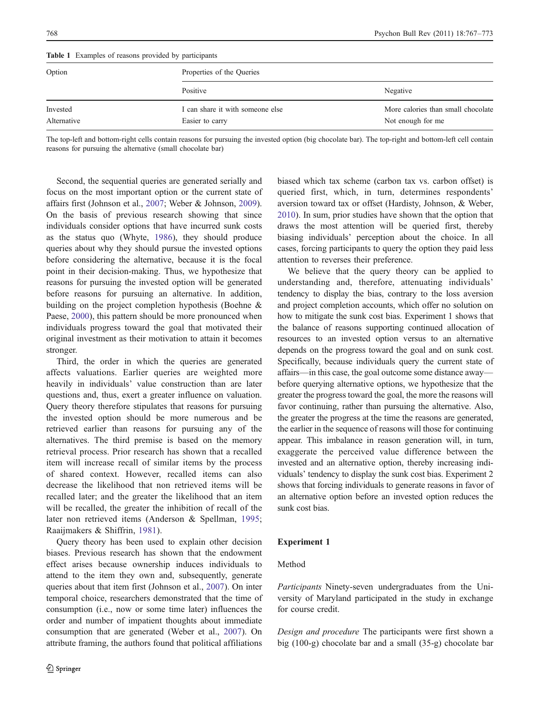<span id="page-1-0"></span>

| <b>Table 1</b> Examples of reasons provided by participants |                                  |                                    |
|-------------------------------------------------------------|----------------------------------|------------------------------------|
| Option                                                      | Properties of the Queries        |                                    |
|                                                             | Positive                         | Negative                           |
| Invested                                                    | I can share it with someone else | More calories than small chocolate |
| Alternative                                                 | Easier to carry                  | Not enough for me                  |

The top-left and bottom-right cells contain reasons for pursuing the invested option (big chocolate bar). The top-right and bottom-left cell contain reasons for pursuing the alternative (small chocolate bar)

Second, the sequential queries are generated serially and focus on the most important option or the current state of affairs first (Johnson et al., [2007;](#page-6-0) Weber & Johnson, [2009](#page-6-0)). On the basis of previous research showing that since individuals consider options that have incurred sunk costs as the status quo (Whyte, [1986](#page-6-0)), they should produce queries about why they should pursue the invested options before considering the alternative, because it is the focal point in their decision-making. Thus, we hypothesize that reasons for pursuing the invested option will be generated before reasons for pursuing an alternative. In addition, building on the project completion hypothesis (Boehne & Paese, [2000\)](#page-6-0), this pattern should be more pronounced when individuals progress toward the goal that motivated their original investment as their motivation to attain it becomes stronger.

Third, the order in which the queries are generated affects valuations. Earlier queries are weighted more heavily in individuals' value construction than are later questions and, thus, exert a greater influence on valuation. Query theory therefore stipulates that reasons for pursuing the invested option should be more numerous and be retrieved earlier than reasons for pursuing any of the alternatives. The third premise is based on the memory retrieval process. Prior research has shown that a recalled item will increase recall of similar items by the process of shared context. However, recalled items can also decrease the likelihood that non retrieved items will be recalled later; and the greater the likelihood that an item will be recalled, the greater the inhibition of recall of the later non retrieved items (Anderson & Spellman, [1995](#page-6-0); Raaijmakers & Shiffrin, [1981](#page-6-0)).

Query theory has been used to explain other decision biases. Previous research has shown that the endowment effect arises because ownership induces individuals to attend to the item they own and, subsequently, generate queries about that item first (Johnson et al., [2007\)](#page-6-0). On inter temporal choice, researchers demonstrated that the time of consumption (i.e., now or some time later) influences the order and number of impatient thoughts about immediate consumption that are generated (Weber et al., [2007\)](#page-6-0). On attribute framing, the authors found that political affiliations

biased which tax scheme (carbon tax vs. carbon offset) is queried first, which, in turn, determines respondents' aversion toward tax or offset (Hardisty, Johnson, & Weber, [2010](#page-6-0)). In sum, prior studies have shown that the option that draws the most attention will be queried first, thereby biasing individuals' perception about the choice. In all cases, forcing participants to query the option they paid less attention to reverses their preference.

We believe that the query theory can be applied to understanding and, therefore, attenuating individuals' tendency to display the bias, contrary to the loss aversion and project completion accounts, which offer no solution on how to mitigate the sunk cost bias. Experiment 1 shows that the balance of reasons supporting continued allocation of resources to an invested option versus to an alternative depends on the progress toward the goal and on sunk cost. Specifically, because individuals query the current state of affairs—in this case, the goal outcome some distance away before querying alternative options, we hypothesize that the greater the progress toward the goal, the more the reasons will favor continuing, rather than pursuing the alternative. Also, the greater the progress at the time the reasons are generated, the earlier in the sequence of reasons will those for continuing appear. This imbalance in reason generation will, in turn, exaggerate the perceived value difference between the invested and an alternative option, thereby increasing individuals' tendency to display the sunk cost bias. Experiment 2 shows that forcing individuals to generate reasons in favor of an alternative option before an invested option reduces the sunk cost bias.

# Experiment 1

# Method

Participants Ninety-seven undergraduates from the University of Maryland participated in the study in exchange for course credit.

Design and procedure The participants were first shown a big (100-g) chocolate bar and a small (35-g) chocolate bar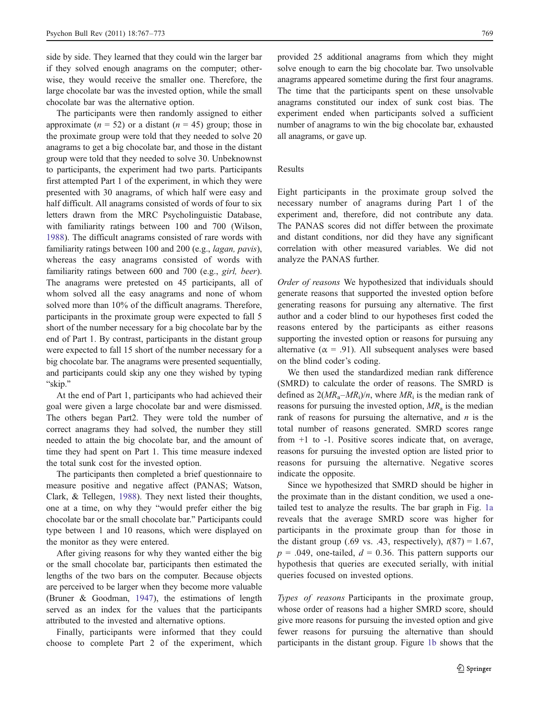side by side. They learned that they could win the larger bar if they solved enough anagrams on the computer; otherwise, they would receive the smaller one. Therefore, the large chocolate bar was the invested option, while the small chocolate bar was the alternative option.

The participants were then randomly assigned to either approximate ( $n = 52$ ) or a distant ( $n = 45$ ) group; those in the proximate group were told that they needed to solve 20 anagrams to get a big chocolate bar, and those in the distant group were told that they needed to solve 30. Unbeknownst to participants, the experiment had two parts. Participants first attempted Part 1 of the experiment, in which they were presented with 30 anagrams, of which half were easy and half difficult. All anagrams consisted of words of four to six letters drawn from the MRC Psycholinguistic Database, with familiarity ratings between 100 and 700 (Wilson, [1988\)](#page-6-0). The difficult anagrams consisted of rare words with familiarity ratings between 100 and 200 (e.g., lagan, pavis), whereas the easy anagrams consisted of words with familiarity ratings between 600 and 700 (e.g., girl, beer). The anagrams were pretested on 45 participants, all of whom solved all the easy anagrams and none of whom solved more than 10% of the difficult anagrams. Therefore, participants in the proximate group were expected to fall 5 short of the number necessary for a big chocolate bar by the end of Part 1. By contrast, participants in the distant group were expected to fall 15 short of the number necessary for a big chocolate bar. The anagrams were presented sequentially, and participants could skip any one they wished by typing "skip."

At the end of Part 1, participants who had achieved their goal were given a large chocolate bar and were dismissed. The others began Part2. They were told the number of correct anagrams they had solved, the number they still needed to attain the big chocolate bar, and the amount of time they had spent on Part 1. This time measure indexed the total sunk cost for the invested option.

The participants then completed a brief questionnaire to measure positive and negative affect (PANAS; Watson, Clark, & Tellegen, [1988\)](#page-6-0). They next listed their thoughts, one at a time, on why they "would prefer either the big chocolate bar or the small chocolate bar." Participants could type between 1 and 10 reasons, which were displayed on the monitor as they were entered.

After giving reasons for why they wanted either the big or the small chocolate bar, participants then estimated the lengths of the two bars on the computer. Because objects are perceived to be larger when they become more valuable (Bruner & Goodman, [1947](#page-6-0)), the estimations of length served as an index for the values that the participants attributed to the invested and alternative options.

Finally, participants were informed that they could choose to complete Part 2 of the experiment, which provided 25 additional anagrams from which they might solve enough to earn the big chocolate bar. Two unsolvable anagrams appeared sometime during the first four anagrams. The time that the participants spent on these unsolvable anagrams constituted our index of sunk cost bias. The experiment ended when participants solved a sufficient number of anagrams to win the big chocolate bar, exhausted all anagrams, or gave up.

## Results

Eight participants in the proximate group solved the necessary number of anagrams during Part 1 of the experiment and, therefore, did not contribute any data. The PANAS scores did not differ between the proximate and distant conditions, nor did they have any significant correlation with other measured variables. We did not analyze the PANAS further.

Order of reasons We hypothesized that individuals should generate reasons that supported the invested option before generating reasons for pursuing any alternative. The first author and a coder blind to our hypotheses first coded the reasons entered by the participants as either reasons supporting the invested option or reasons for pursuing any alternative ( $\alpha$  = .91). All subsequent analyses were based on the blind coder's coding.

We then used the standardized median rank difference (SMRD) to calculate the order of reasons. The SMRD is defined as  $2(MR_a-MR_i)/n$ , where  $MR_i$  is the median rank of reasons for pursuing the invested option,  $MR_a$  is the median rank of reasons for pursuing the alternative, and  $n$  is the total number of reasons generated. SMRD scores range from +1 to -1. Positive scores indicate that, on average, reasons for pursuing the invested option are listed prior to reasons for pursuing the alternative. Negative scores indicate the opposite.

Since we hypothesized that SMRD should be higher in the proximate than in the distant condition, we used a onetailed test to analyze the results. The bar graph in Fig. [1a](#page-3-0) reveals that the average SMRD score was higher for participants in the proximate group than for those in the distant group (.69 vs. .43, respectively),  $t(87) = 1.67$ ,  $p = .049$ , one-tailed,  $d = 0.36$ . This pattern supports our hypothesis that queries are executed serially, with initial queries focused on invested options.

Types of reasons Participants in the proximate group, whose order of reasons had a higher SMRD score, should give more reasons for pursuing the invested option and give fewer reasons for pursuing the alternative than should participants in the distant group. Figure [1b](#page-3-0) shows that the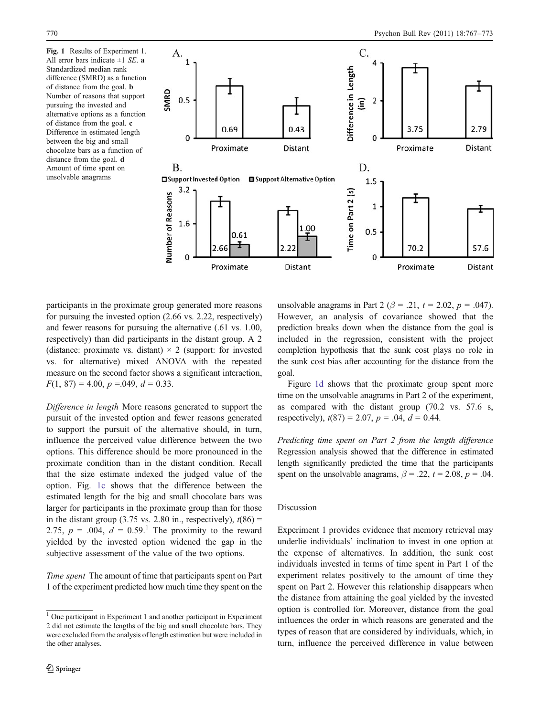<span id="page-3-0"></span>Fig. 1 Results of Experiment 1. All error bars indicate  $\pm 1$  SE. a Standardized median rank difference (SMRD) as a function of distance from the goal. b Number of reasons that support pursuing the invested and alternative options as a function of distance from the goal. c Difference in estimated length between the big and small chocolate bars as a function of distance from the goal. d Amount of time spent on unsolvable anagrams



participants in the proximate group generated more reasons for pursuing the invested option (2.66 vs. 2.22, respectively) and fewer reasons for pursuing the alternative (.61 vs. 1.00, respectively) than did participants in the distant group. A 2 (distance: proximate vs. distant)  $\times$  2 (support: for invested vs. for alternative) mixed ANOVA with the repeated measure on the second factor shows a significant interaction,  $F(1, 87) = 4.00, p = .049, d = 0.33.$ 

Difference in length More reasons generated to support the pursuit of the invested option and fewer reasons generated to support the pursuit of the alternative should, in turn, influence the perceived value difference between the two options. This difference should be more pronounced in the proximate condition than in the distant condition. Recall that the size estimate indexed the judged value of the option. Fig. 1c shows that the difference between the estimated length for the big and small chocolate bars was larger for participants in the proximate group than for those in the distant group (3.75 vs. 2.80 in., respectively),  $t(86)$  = 2.75,  $p = .004$ ,  $d = 0.59$ .<sup>1</sup> The proximity to the reward yielded by the invested option widened the gap in the subjective assessment of the value of the two options.

Time spent The amount of time that participants spent on Part 1 of the experiment predicted how much time they spent on the

unsolvable anagrams in Part 2 ( $\beta$  = .21,  $t$  = 2.02,  $p$  = .047). However, an analysis of covariance showed that the prediction breaks down when the distance from the goal is included in the regression, consistent with the project completion hypothesis that the sunk cost plays no role in the sunk cost bias after accounting for the distance from the goal.

Figure 1d shows that the proximate group spent more time on the unsolvable anagrams in Part 2 of the experiment, as compared with the distant group (70.2 vs. 57.6 s, respectively),  $t(87) = 2.07$ ,  $p = .04$ ,  $d = 0.44$ .

Predicting time spent on Part 2 from the length difference Regression analysis showed that the difference in estimated length significantly predicted the time that the participants spent on the unsolvable anagrams,  $\beta = .22$ ,  $t = 2.08$ ,  $p = .04$ .

# Discussion

Experiment 1 provides evidence that memory retrieval may underlie individuals' inclination to invest in one option at the expense of alternatives. In addition, the sunk cost individuals invested in terms of time spent in Part 1 of the experiment relates positively to the amount of time they spent on Part 2. However this relationship disappears when the distance from attaining the goal yielded by the invested option is controlled for. Moreover, distance from the goal influences the order in which reasons are generated and the types of reason that are considered by individuals, which, in turn, influence the perceived difference in value between

<sup>&</sup>lt;sup>1</sup> One participant in Experiment 1 and another participant in Experiment 2 did not estimate the lengths of the big and small chocolate bars. They were excluded from the analysis of length estimation but were included in the other analyses.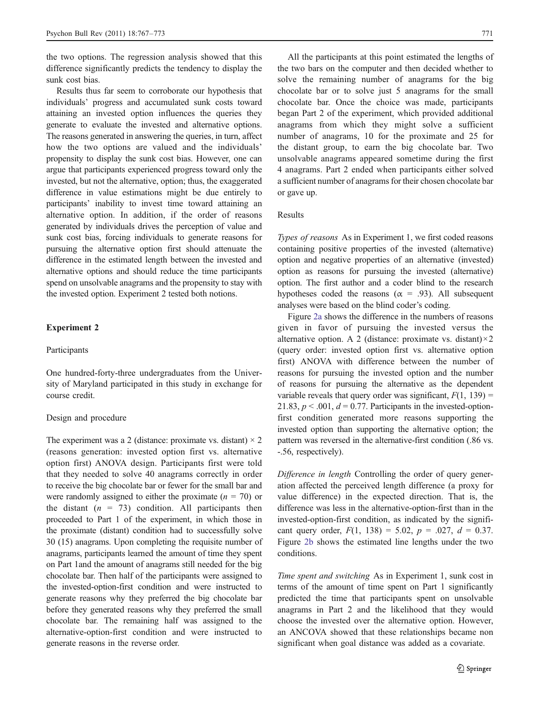the two options. The regression analysis showed that this difference significantly predicts the tendency to display the sunk cost bias.

Results thus far seem to corroborate our hypothesis that individuals' progress and accumulated sunk costs toward attaining an invested option influences the queries they generate to evaluate the invested and alternative options. The reasons generated in answering the queries, in turn, affect how the two options are valued and the individuals' propensity to display the sunk cost bias. However, one can argue that participants experienced progress toward only the invested, but not the alternative, option; thus, the exaggerated difference in value estimations might be due entirely to participants' inability to invest time toward attaining an alternative option. In addition, if the order of reasons generated by individuals drives the perception of value and sunk cost bias, forcing individuals to generate reasons for pursuing the alternative option first should attenuate the difference in the estimated length between the invested and alternative options and should reduce the time participants spend on unsolvable anagrams and the propensity to stay with the invested option. Experiment 2 tested both notions.

# Experiment 2

## Participants

One hundred-forty-three undergraduates from the University of Maryland participated in this study in exchange for course credit.

#### Design and procedure

The experiment was a 2 (distance: proximate vs. distant)  $\times$  2 (reasons generation: invested option first vs. alternative option first) ANOVA design. Participants first were told that they needed to solve 40 anagrams correctly in order to receive the big chocolate bar or fewer for the small bar and were randomly assigned to either the proximate  $(n = 70)$  or the distant  $(n = 73)$  condition. All participants then proceeded to Part 1 of the experiment, in which those in the proximate (distant) condition had to successfully solve 30 (15) anagrams. Upon completing the requisite number of anagrams, participants learned the amount of time they spent on Part 1and the amount of anagrams still needed for the big chocolate bar. Then half of the participants were assigned to the invested-option-first condition and were instructed to generate reasons why they preferred the big chocolate bar before they generated reasons why they preferred the small chocolate bar. The remaining half was assigned to the alternative-option-first condition and were instructed to generate reasons in the reverse order.

All the participants at this point estimated the lengths of the two bars on the computer and then decided whether to solve the remaining number of anagrams for the big chocolate bar or to solve just 5 anagrams for the small chocolate bar. Once the choice was made, participants began Part 2 of the experiment, which provided additional anagrams from which they might solve a sufficient number of anagrams, 10 for the proximate and 25 for the distant group, to earn the big chocolate bar. Two unsolvable anagrams appeared sometime during the first 4 anagrams. Part 2 ended when participants either solved a sufficient number of anagrams for their chosen chocolate bar or gave up.

# Results

Types of reasons As in Experiment 1, we first coded reasons containing positive properties of the invested (alternative) option and negative properties of an alternative (invested) option as reasons for pursuing the invested (alternative) option. The first author and a coder blind to the research hypotheses coded the reasons ( $\alpha$  = .93). All subsequent analyses were based on the blind coder's coding.

Figure [2a](#page-5-0) shows the difference in the numbers of reasons given in favor of pursuing the invested versus the alternative option. A 2 (distance: proximate vs. distant) $\times$ 2 (query order: invested option first vs. alternative option first) ANOVA with difference between the number of reasons for pursuing the invested option and the number of reasons for pursuing the alternative as the dependent variable reveals that query order was significant,  $F(1, 139) =$ 21.83,  $p < .001$ ,  $d = 0.77$ . Participants in the invested-optionfirst condition generated more reasons supporting the invested option than supporting the alternative option; the pattern was reversed in the alternative-first condition (.86 vs. -.56, respectively).

Difference in length Controlling the order of query generation affected the perceived length difference (a proxy for value difference) in the expected direction. That is, the difference was less in the alternative-option-first than in the invested-option-first condition, as indicated by the significant query order,  $F(1, 138) = 5.02$ ,  $p = .027$ ,  $d = 0.37$ . Figure [2b](#page-5-0) shows the estimated line lengths under the two conditions.

Time spent and switching As in Experiment 1, sunk cost in terms of the amount of time spent on Part 1 significantly predicted the time that participants spent on unsolvable anagrams in Part 2 and the likelihood that they would choose the invested over the alternative option. However, an ANCOVA showed that these relationships became non significant when goal distance was added as a covariate.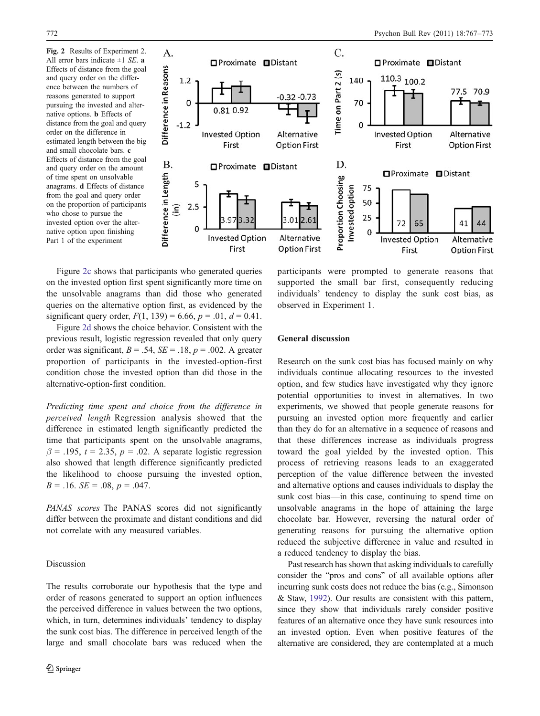<span id="page-5-0"></span>Fig. 2 Results of Experiment 2. All error bars indicate  $\pm 1$  SE. a Effects of distance from the goal and query order on the difference between the numbers of reasons generated to support pursuing the invested and alternative options. b Effects of distance from the goal and query order on the difference in estimated length between the big and small chocolate bars. c Effects of distance from the goal and query order on the amount of time spent on unsolvable anagrams. d Effects of distance from the goal and query order on the proportion of participants who chose to pursue the invested option over the alternative option upon finishing Part 1 of the experiment



Figure 2c shows that participants who generated queries on the invested option first spent significantly more time on the unsolvable anagrams than did those who generated queries on the alternative option first, as evidenced by the significant query order,  $F(1, 139) = 6.66$ ,  $p = .01$ ,  $d = 0.41$ .

Figure 2d shows the choice behavior. Consistent with the previous result, logistic regression revealed that only query order was significant,  $B = .54$ ,  $SE = .18$ ,  $p = .002$ . A greater proportion of participants in the invested-option-first condition chose the invested option than did those in the alternative-option-first condition.

Predicting time spent and choice from the difference in perceived length Regression analysis showed that the difference in estimated length significantly predicted the time that participants spent on the unsolvable anagrams,  $\beta = .195$ ,  $t = 2.35$ ,  $p = .02$ . A separate logistic regression also showed that length difference significantly predicted the likelihood to choose pursuing the invested option,  $B = .16$ .  $SE = .08$ ,  $p = .047$ .

PANAS scores The PANAS scores did not significantly differ between the proximate and distant conditions and did not correlate with any measured variables.

#### Discussion

The results corroborate our hypothesis that the type and order of reasons generated to support an option influences the perceived difference in values between the two options, which, in turn, determines individuals' tendency to display the sunk cost bias. The difference in perceived length of the large and small chocolate bars was reduced when the

participants were prompted to generate reasons that supported the small bar first, consequently reducing individuals' tendency to display the sunk cost bias, as observed in Experiment 1.

#### General discussion

Research on the sunk cost bias has focused mainly on why individuals continue allocating resources to the invested option, and few studies have investigated why they ignore potential opportunities to invest in alternatives. In two experiments, we showed that people generate reasons for pursuing an invested option more frequently and earlier than they do for an alternative in a sequence of reasons and that these differences increase as individuals progress toward the goal yielded by the invested option. This process of retrieving reasons leads to an exaggerated perception of the value difference between the invested and alternative options and causes individuals to display the sunk cost bias—in this case, continuing to spend time on unsolvable anagrams in the hope of attaining the large chocolate bar. However, reversing the natural order of generating reasons for pursuing the alternative option reduced the subjective difference in value and resulted in a reduced tendency to display the bias.

Past research has shown that asking individuals to carefully consider the "pros and cons" of all available options after incurring sunk costs does not reduce the bias (e.g., Simonson & Staw, [1992](#page-6-0)). Our results are consistent with this pattern, since they show that individuals rarely consider positive features of an alternative once they have sunk resources into an invested option. Even when positive features of the alternative are considered, they are contemplated at a much